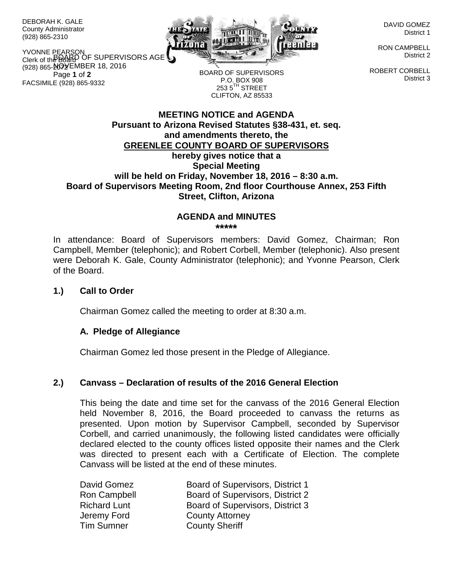DEBORAH K. GALE County Administrator (928) 865-2310

YVONNE PEARSON<br>Clerk of the DOARD OF SUPERVISORS AGE (928) 865-**2\Q**YEMBER 18, 2016 Page **1** of **2** Clerk of the Board FACSIMILE (928) 865-9332



BOARD OF SUPERVISORS

DAVID GOMEZ District 1

RON CAMPBELL District 2

ROBERT CORBELL District 3

**MEETING NOTICE and AGENDA Pursuant to Arizona Revised Statutes §38-431, et. seq. and amendments thereto, the GREENLEE COUNTY BOARD OF SUPERVISORS** P.O. BOX 908  $253.5$ <sup>TH</sup> STREET CLIFTON, AZ 85533

# **hereby gives notice that a Special Meeting will be held on Friday, November 18, 2016 – 8:30 a.m. Board of Supervisors Meeting Room, 2nd floor Courthouse Annex, 253 Fifth Street, Clifton, Arizona**

#### **AGENDA and MINUTES \*\*\*\*\***

In attendance: Board of Supervisors members: David Gomez, Chairman; Ron Campbell, Member (telephonic); and Robert Corbell, Member (telephonic). Also present were Deborah K. Gale, County Administrator (telephonic); and Yvonne Pearson, Clerk of the Board.

### **1.) Call to Order**

Chairman Gomez called the meeting to order at 8:30 a.m.

# **A. Pledge of Allegiance**

Chairman Gomez led those present in the Pledge of Allegiance.

# **2.) Canvass – Declaration of results of the 2016 General Election**

This being the date and time set for the canvass of the 2016 General Election held November 8, 2016, the Board proceeded to canvass the returns as presented. Upon motion by Supervisor Campbell, seconded by Supervisor Corbell, and carried unanimously, the following listed candidates were officially declared elected to the county offices listed opposite their names and the Clerk was directed to present each with a Certificate of Election. The complete Canvass will be listed at the end of these minutes.

| David Gomez         | Board of Supervisors, District 1 |
|---------------------|----------------------------------|
| Ron Campbell        | Board of Supervisors, District 2 |
| <b>Richard Lunt</b> | Board of Supervisors, District 3 |
| Jeremy Ford         | <b>County Attorney</b>           |
| <b>Tim Sumner</b>   | <b>County Sheriff</b>            |